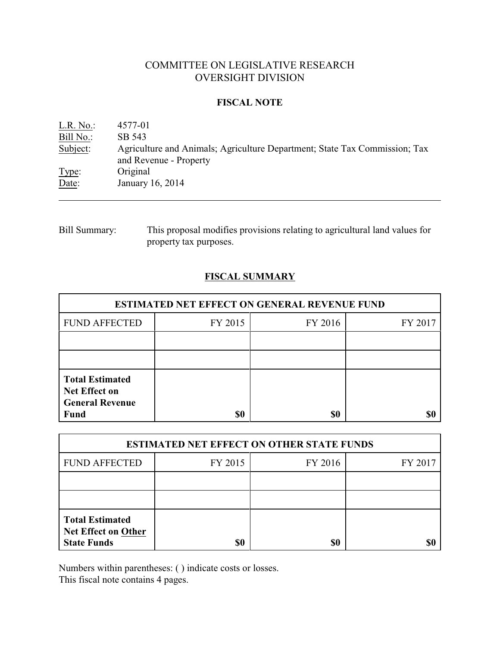# COMMITTEE ON LEGISLATIVE RESEARCH OVERSIGHT DIVISION

### **FISCAL NOTE**

| L.R. No.  | 4577-01                                                                                              |
|-----------|------------------------------------------------------------------------------------------------------|
| Bill No.: | SB 543                                                                                               |
| Subject:  | Agriculture and Animals; Agriculture Department; State Tax Commission; Tax<br>and Revenue - Property |
| Type:     | Original                                                                                             |
| Date:     | January 16, 2014                                                                                     |

Bill Summary: This proposal modifies provisions relating to agricultural land values for property tax purposes.

## **FISCAL SUMMARY**

| <b>ESTIMATED NET EFFECT ON GENERAL REVENUE FUND</b>                                     |         |         |         |  |
|-----------------------------------------------------------------------------------------|---------|---------|---------|--|
| <b>FUND AFFECTED</b>                                                                    | FY 2015 | FY 2016 | FY 2017 |  |
|                                                                                         |         |         |         |  |
|                                                                                         |         |         |         |  |
| <b>Total Estimated</b><br><b>Net Effect on</b><br><b>General Revenue</b><br><b>Fund</b> | \$0     | \$0     |         |  |

| <b>ESTIMATED NET EFFECT ON OTHER STATE FUNDS</b>                           |         |         |         |  |
|----------------------------------------------------------------------------|---------|---------|---------|--|
| <b>FUND AFFECTED</b>                                                       | FY 2015 | FY 2016 | FY 2017 |  |
|                                                                            |         |         |         |  |
|                                                                            |         |         |         |  |
| <b>Total Estimated</b><br><b>Net Effect on Other</b><br><b>State Funds</b> | \$0     | \$0     |         |  |

Numbers within parentheses: ( ) indicate costs or losses.

This fiscal note contains 4 pages.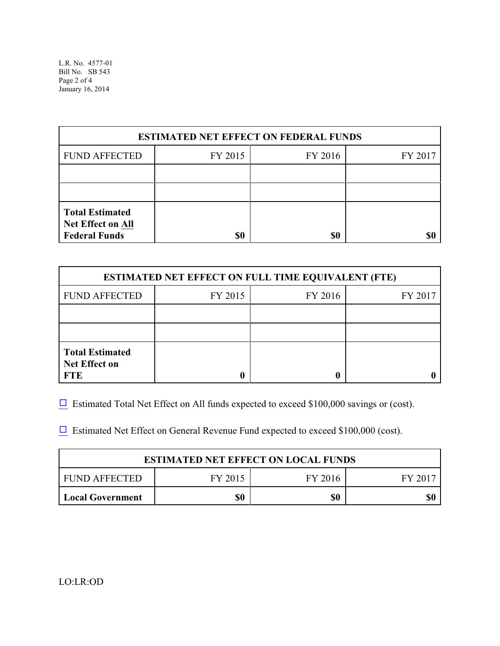| <b>ESTIMATED NET EFFECT ON FEDERAL FUNDS</b>                               |         |         |         |  |
|----------------------------------------------------------------------------|---------|---------|---------|--|
| <b>FUND AFFECTED</b>                                                       | FY 2015 | FY 2016 | FY 2017 |  |
|                                                                            |         |         |         |  |
|                                                                            |         |         |         |  |
| <b>Total Estimated</b><br><b>Net Effect on All</b><br><b>Federal Funds</b> | \$0     | \$0     |         |  |

| <b>ESTIMATED NET EFFECT ON FULL TIME EQUIVALENT (FTE)</b>    |         |         |         |  |
|--------------------------------------------------------------|---------|---------|---------|--|
| <b>FUND AFFECTED</b>                                         | FY 2015 | FY 2016 | FY 2017 |  |
|                                                              |         |         |         |  |
|                                                              |         |         |         |  |
| <b>Total Estimated</b><br><b>Net Effect on</b><br><b>FTE</b> |         |         |         |  |

 $\Box$  Estimated Total Net Effect on All funds expected to exceed \$100,000 savings or (cost).

 $\Box$  Estimated Net Effect on General Revenue Fund expected to exceed \$100,000 (cost).

| <b>ESTIMATED NET EFFECT ON LOCAL FUNDS</b> |         |         |       |  |
|--------------------------------------------|---------|---------|-------|--|
| FUND AFFECTED                              | FY 2015 | FY 2016 | FV 20 |  |
| <b>Local Government</b>                    | \$0     | \$0     | \$(   |  |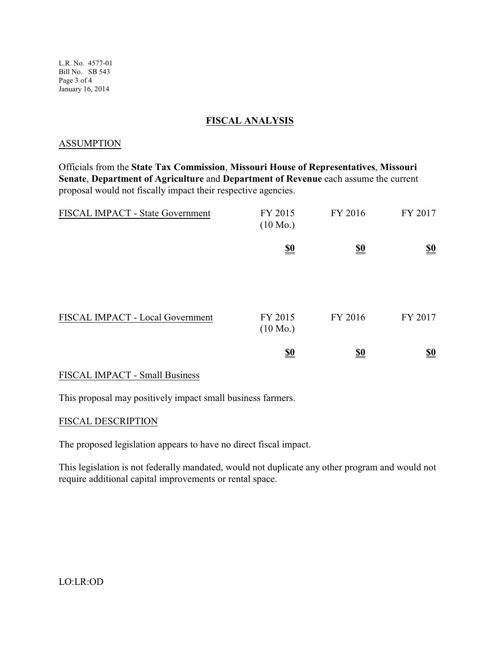L.R. No. 4577-01 Bill No. SB 543 Page 3 of 4 January 16, 2014

### **FISCAL ANALYSIS**

#### ASSUMPTION

Officials from the **State Tax Commission**, **Missouri House of Representatives**, **Missouri Senate**, **Department of Agriculture** and **Department of Revenue** each assume the current proposal would not fiscally impact their respective agencies.

| FISCAL IMPACT - State Government      | FY 2015<br>$(10 \text{ Mo.})$ | FY 2016                       | FY 2017                       |
|---------------------------------------|-------------------------------|-------------------------------|-------------------------------|
|                                       | $\underline{\underline{\$0}}$ | $\underline{\underline{\$0}}$ | $\underline{\underline{\$0}}$ |
| FISCAL IMPACT - Local Government      | FY 2015<br>$(10 \text{ Mo.})$ | FY 2016                       | FY 2017                       |
|                                       | <u>\$0</u>                    | $\underline{\underline{\$0}}$ | $\underline{\underline{\$0}}$ |
| <b>FISCAL IMPACT - Small Business</b> |                               |                               |                               |

This proposal may positively impact small business farmers.

#### FISCAL DESCRIPTION

The proposed legislation appears to have no direct fiscal impact.

This legislation is not federally mandated, would not duplicate any other program and would not require additional capital improvements or rental space.